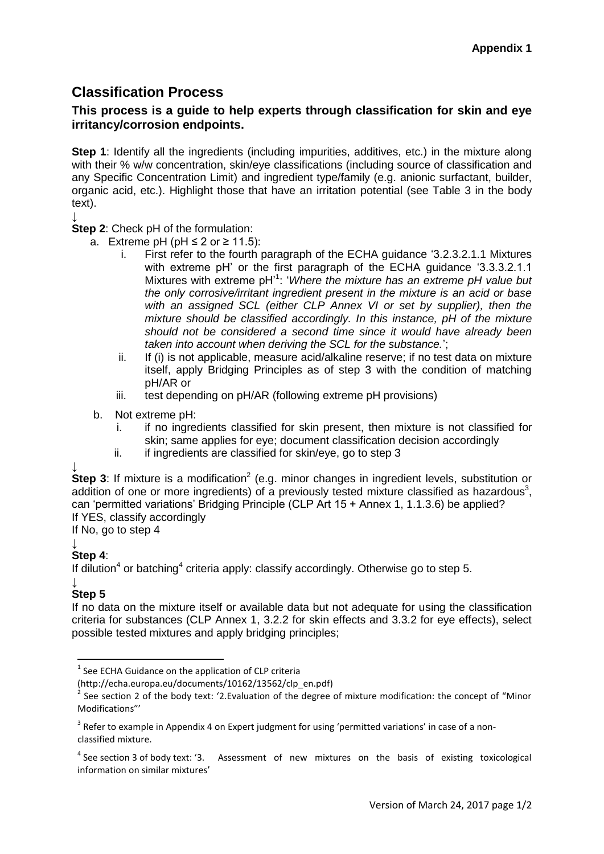# **Classification Process**

# **This process is a guide to help experts through classification for skin and eye irritancy/corrosion endpoints.**

**Step 1**: Identify all the ingredients (including impurities, additives, etc.) in the mixture along with their % w/w concentration, skin/eye classifications (including source of classification and any Specific Concentration Limit) and ingredient type/family (e.g. anionic surfactant, builder, organic acid, etc.). Highlight those that have an irritation potential (see Table 3 in the body text).

↓

**Step 2**: Check pH of the formulation:

- <span id="page-0-0"></span>a. Extreme pH (pH ≤ 2 or ≥ 11.5):
	- i. First refer to the fourth paragraph of the ECHA guidance '3.2.3.2.1.1 Mixtures with extreme pH' or the first paragraph of the ECHA guidance '3.3.3.2.1.1 Mixtures with extreme pH<sup>'1</sup>: '*Where the mixture has an extreme pH value but the only corrosive/irritant ingredient present in the mixture is an acid or base*  with an assigned SCL (either CLP Annex VI or set by supplier), then the *mixture should be classified accordingly. In this instance, pH of the mixture should not be considered a second time since it would have already been taken into account when deriving the SCL for the substance.*';
	- ii. If (i) is not applicable, measure acid/alkaline reserve; if no test data on mixture itself, apply Bridging Principles as of step 3 with the condition of matching pH/AR or
	- iii. test depending on pH/AR (following extreme pH provisions)
- b. Not extreme pH:
	- i. if no ingredients classified for skin present, then mixture is not classified for skin; same applies for eye; document classification decision accordingly
	- ii. if ingredients are classified for skin/eye, go to step 3

↓

Step 3: If mixture is a modification<sup>2</sup> (e.g. minor changes in ingredient levels, substitution or addition of one or more ingredients) of a previously tested mixture classified as hazardous<sup>3</sup>, can 'permitted variations' Bridging Principle (CLP Art 15 + Annex 1, 1.1.3.6) be applied? If YES, classify accordingly

If No, go to step 4

### ↓

## **Step 4**:

If dilution<sup>4</sup> or batching<sup>4</sup> criteria apply: classify accordingly. Otherwise go to step 5.

#### ↓ **Step 5**

**.** 

If no data on the mixture itself or available data but not adequate for using the classification criteria for substances (CLP Annex 1, 3.2.2 for skin effects and 3.3.2 for eye effects), select possible tested mixtures and apply bridging principles;

 $1$  See ECHA Guidance on the application of CLP criteria

<sup>(</sup>http://echa.europa.eu/documents/10162/13562/clp\_en.pdf)

<sup>2</sup> See section 2 of the body text: '2.Evaluation of the degree of mixture modification: the concept of "Minor Modifications"'

 $3$  Refer to example in Appendix 4 on Expert judgment for using 'permitted variations' in case of a nonclassified mixture.

 $4$  See section 3 of body text: '3. Assessment of new mixtures on the basis of existing toxicological information on similar mixtures'